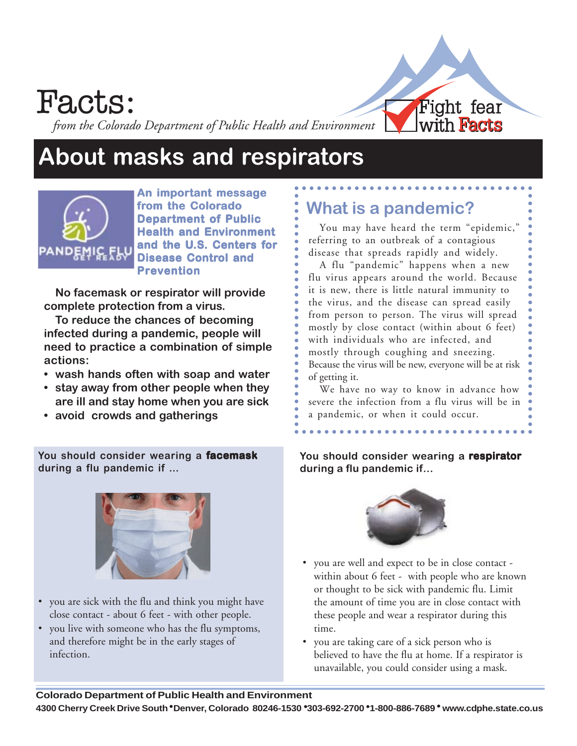# Facts:

*from the Colorado Department of Public Health and Environment*

# **About masks and respirators**



**An important message from the Colorado Department of Public Health and Environment and the U.S. Centers for Disease Control and Prevention**

**No facemask or respirator will provide complete protection from a virus.**

**To reduce the chances of becoming infected during a pandemic, people will need to practice a combination of simple actions:**

- **wash hands often with soap and water**
- **stay away from other people when they are ill and stay home when you are sick**
- **avoid crowds and gatherings**

**You should consider wearing a facemask during a flu pandemic if …**



- you are sick with the flu and think you might have close contact - about 6 feet - with other people.
- you live with someone who has the flu symptoms, and therefore might be in the early stages of infection.

# **What is a pandemic?**

You may have heard the term "epidemic," referring to an outbreak of a contagious disease that spreads rapidly and widely.

**Fight** fear with **Facts** 

A flu "pandemic" happens when a new flu virus appears around the world. Because it is new, there is little natural immunity to the virus, and the disease can spread easily from person to person. The virus will spread mostly by close contact (within about 6 feet) with individuals who are infected, and mostly through coughing and sneezing. Because the virus will be new, everyone will be at risk of getting it.

We have no way to know in advance how severe the infection from a flu virus will be in a pandemic, or when it could occur.

### **You should consider wearing a respirator during a flu pandemic if…**



- you are well and expect to be in close contact within about 6 feet - with people who are known or thought to be sick with pandemic flu. Limit the amount of time you are in close contact with these people and wear a respirator during this time.
- you are taking care of a sick person who is believed to have the flu at home. If a respirator is unavailable, you could consider using a mask.